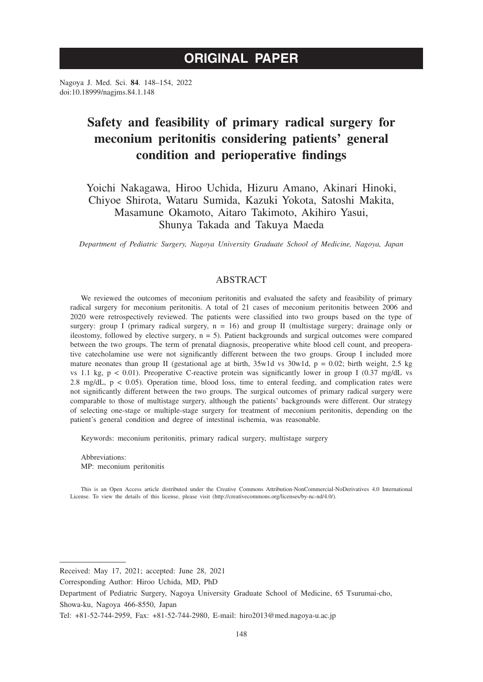# **ORIGINAL PAPER**

Nagoya J. Med. Sci. **84**. 148–154, 2022 doi:10.18999/nagjms.84.1.148

# **Safety and feasibility of primary radical surgery for meconium peritonitis considering patients' general condition and perioperative findings**

Yoichi Nakagawa, Hiroo Uchida, Hizuru Amano, Akinari Hinoki, Chiyoe Shirota, Wataru Sumida, Kazuki Yokota, Satoshi Makita, Masamune Okamoto, Aitaro Takimoto, Akihiro Yasui, Shunya Takada and Takuya Maeda

*Department of Pediatric Surgery, Nagoya University Graduate School of Medicine, Nagoya, Japan*

# ABSTRACT

We reviewed the outcomes of meconium peritonitis and evaluated the safety and feasibility of primary radical surgery for meconium peritonitis. A total of 21 cases of meconium peritonitis between 2006 and 2020 were retrospectively reviewed. The patients were classified into two groups based on the type of surgery: group I (primary radical surgery,  $n = 16$ ) and group II (multistage surgery; drainage only or ileostomy, followed by elective surgery,  $n = 5$ ). Patient backgrounds and surgical outcomes were compared between the two groups. The term of prenatal diagnosis, preoperative white blood cell count, and preoperative catecholamine use were not significantly different between the two groups. Group I included more mature neonates than group II (gestational age at birth,  $35w1d$  vs  $30w1d$ , p = 0.02; birth weight, 2.5 kg vs 1.1 kg,  $p < 0.01$ ). Preoperative C-reactive protein was significantly lower in group I (0.37 mg/dL vs 2.8 mg/dL,  $p < 0.05$ ). Operation time, blood loss, time to enteral feeding, and complication rates were not significantly different between the two groups. The surgical outcomes of primary radical surgery were comparable to those of multistage surgery, although the patients' backgrounds were different. Our strategy of selecting one-stage or multiple-stage surgery for treatment of meconium peritonitis, depending on the patient's general condition and degree of intestinal ischemia, was reasonable.

Keywords: meconium peritonitis, primary radical surgery, multistage surgery

Abbreviations: MP: meconium peritonitis

This is an Open Access article distributed under the Creative Commons Attribution-NonCommercial-NoDerivatives 4.0 International License. To view the details of this license, please visit (http://creativecommons.org/licenses/by-nc-nd/4.0/).

Received: May 17, 2021; accepted: June 28, 2021

Corresponding Author: Hiroo Uchida, MD, PhD

Department of Pediatric Surgery, Nagoya University Graduate School of Medicine, 65 Tsurumai-cho, Showa-ku, Nagoya 466-8550, Japan

Tel: +81-52-744-2959, Fax: +81-52-744-2980, E-mail: hiro2013@med.nagoya-u.ac.jp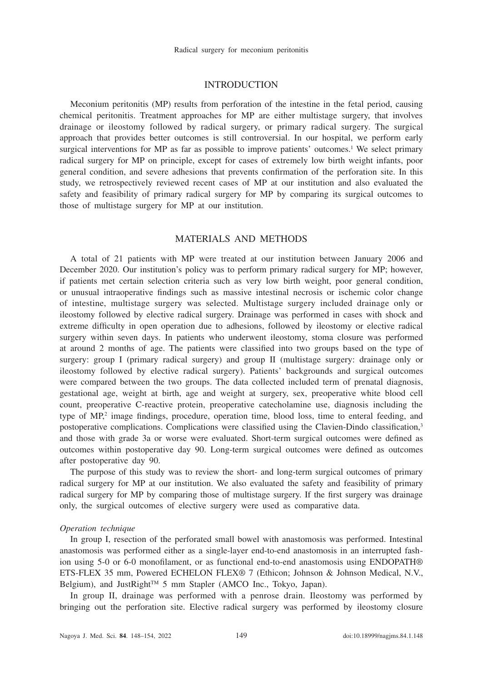### **INTRODUCTION**

Meconium peritonitis (MP) results from perforation of the intestine in the fetal period, causing chemical peritonitis. Treatment approaches for MP are either multistage surgery, that involves drainage or ileostomy followed by radical surgery, or primary radical surgery. The surgical approach that provides better outcomes is still controversial. In our hospital, we perform early surgical interventions for MP as far as possible to improve patients' outcomes.<sup>1</sup> We select primary radical surgery for MP on principle, except for cases of extremely low birth weight infants, poor general condition, and severe adhesions that prevents confirmation of the perforation site. In this study, we retrospectively reviewed recent cases of MP at our institution and also evaluated the safety and feasibility of primary radical surgery for MP by comparing its surgical outcomes to those of multistage surgery for MP at our institution.

# MATERIALS AND METHODS

A total of 21 patients with MP were treated at our institution between January 2006 and December 2020. Our institution's policy was to perform primary radical surgery for MP; however, if patients met certain selection criteria such as very low birth weight, poor general condition, or unusual intraoperative findings such as massive intestinal necrosis or ischemic color change of intestine, multistage surgery was selected. Multistage surgery included drainage only or ileostomy followed by elective radical surgery. Drainage was performed in cases with shock and extreme difficulty in open operation due to adhesions, followed by ileostomy or elective radical surgery within seven days. In patients who underwent ileostomy, stoma closure was performed at around 2 months of age. The patients were classified into two groups based on the type of surgery: group I (primary radical surgery) and group II (multistage surgery: drainage only or ileostomy followed by elective radical surgery). Patients' backgrounds and surgical outcomes were compared between the two groups. The data collected included term of prenatal diagnosis, gestational age, weight at birth, age and weight at surgery, sex, preoperative white blood cell count, preoperative C-reactive protein, preoperative catecholamine use, diagnosis including the type of MP,<sup>2</sup> image findings, procedure, operation time, blood loss, time to enteral feeding, and postoperative complications. Complications were classified using the Clavien-Dindo classification,<sup>3</sup> and those with grade 3a or worse were evaluated. Short-term surgical outcomes were defined as outcomes within postoperative day 90. Long-term surgical outcomes were defined as outcomes after postoperative day 90.

The purpose of this study was to review the short- and long-term surgical outcomes of primary radical surgery for MP at our institution. We also evaluated the safety and feasibility of primary radical surgery for MP by comparing those of multistage surgery. If the first surgery was drainage only, the surgical outcomes of elective surgery were used as comparative data.

### *Operation technique*

In group I, resection of the perforated small bowel with anastomosis was performed. Intestinal anastomosis was performed either as a single-layer end-to-end anastomosis in an interrupted fashion using 5-0 or 6-0 monofilament, or as functional end-to-end anastomosis using ENDOPATH® ETS-FLEX 35 mm, Powered ECHELON FLEX® 7 (Ethicon; Johnson & Johnson Medical, N.V., Belgium), and JustRight<sup>™</sup> 5 mm Stapler (AMCO Inc., Tokyo, Japan).

In group II, drainage was performed with a penrose drain. Ileostomy was performed by bringing out the perforation site. Elective radical surgery was performed by ileostomy closure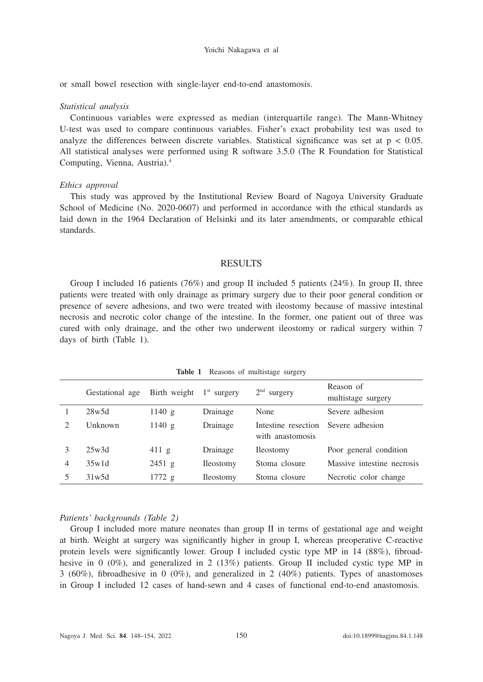#### Yoichi Nakagawa et al

or small bowel resection with single-layer end-to-end anastomosis.

#### *Statistical analysis*

Continuous variables were expressed as median (interquartile range). The Mann-Whitney U-test was used to compare continuous variables. Fisher's exact probability test was used to analyze the differences between discrete variables. Statistical significance was set at  $p < 0.05$ . All statistical analyses were performed using R software 3.5.0 (The R Foundation for Statistical Computing, Vienna, Austria).4

#### *Ethics approval*

This study was approved by the Institutional Review Board of Nagoya University Graduate School of Medicine (No. 2020-0607) and performed in accordance with the ethical standards as laid down in the 1964 Declaration of Helsinki and its later amendments, or comparable ethical standards.

### **RESULTS**

Group I included 16 patients (76%) and group II included 5 patients (24%). In group II, three patients were treated with only drainage as primary surgery due to their poor general condition or presence of severe adhesions, and two were treated with ileostomy because of massive intestinal necrosis and necrotic color change of the intestine. In the former, one patient out of three was cured with only drainage, and the other two underwent ileostomy or radical surgery within 7 days of birth (Table 1).

|   | Gestational age | Birth weight    | $1st$ surgery    | $2nd$ surgery                           | Reason of<br>multistage surgery |
|---|-----------------|-----------------|------------------|-----------------------------------------|---------------------------------|
|   | 28w5d           | 1140 g          | Drainage         | None                                    | Severe adhesion                 |
|   | <b>Unknown</b>  | 1140 g          | Drainage         | Intestine resection<br>with anastomosis | Severe adhesion                 |
|   | 25w3d           | $411 \text{ g}$ | Drainage         | <b>Ileostomy</b>                        | Poor general condition          |
| 4 | 35w1d           | 2451 g          | <b>Ileostomy</b> | Stoma closure                           | Massive intestine necrosis      |
|   | 31w5d           | 1772 g          | <b>Ileostomy</b> | Stoma closure                           | Necrotic color change           |

**Table 1** Reasons of multistage surgery

#### *Patients' backgrounds (Table 2)*

Group I included more mature neonates than group II in terms of gestational age and weight at birth. Weight at surgery was significantly higher in group I, whereas preoperative C-reactive protein levels were significantly lower. Group I included cystic type MP in 14 (88%), fibroadhesive in 0 (0%), and generalized in 2 (13%) patients. Group II included cystic type MP in 3 (60%), fibroadhesive in 0 (0%), and generalized in 2 (40%) patients. Types of anastomoses in Group I included 12 cases of hand-sewn and 4 cases of functional end-to-end anastomosis.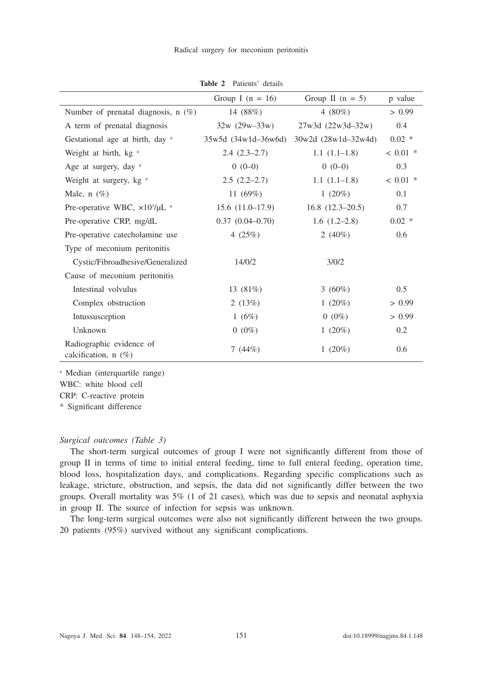|                                                     | Group I ( $n = 16$ )    | Group II $(n = 5)$      | p value    |
|-----------------------------------------------------|-------------------------|-------------------------|------------|
| Number of prenatal diagnosis, $n$ (%)               | 14 $(88%)$              | 4 $(80\%)$              | > 0.99     |
| A term of prenatal diagnosis                        | $32w (29w-33w)$         | $27w3d (22w3d - 32w)$   | 0.4        |
| Gestational age at birth, day a                     | $35w5d (34w1d - 36w6d)$ | $30w2d (28w1d - 32w4d)$ | $0.02 *$   |
| Weight at birth, kg <sup>a</sup>                    | $2.4(2.3-2.7)$          | $1.1(1.1-1.8)$          | $< 0.01$ * |
| Age at surgery, day a                               | $0(0-0)$                | $0(0-0)$                | 0.3        |
| Weight at surgery, kg <sup>a</sup>                  | $2.5(2.2-2.7)$          | $1.1(1.1-1.8)$          | $< 0.01$ * |
| Male, $n(\%)$                                       | 11 $(69%)$              | 1 $(20\%)$              | 0.1        |
| Pre-operative WBC, $\times 10^3/\mu L$ <sup>a</sup> | $15.6(11.0-17.9)$       | $16.8$ $(12.3-20.5)$    | 0.7        |
| Pre-operative CRP, mg/dL                            | $0.37$ $(0.04 - 0.70)$  | $1.6(1.2-2.8)$          | $0.02 *$   |
| Pre-operative catecholamine use                     | 4 $(25%)$               | 2 $(40\%)$              | 0.6        |
| Type of meconium peritonitis                        |                         |                         |            |
| Cystic/Fibroadhesive/Generalized                    | 14/0/2                  | 3/0/2                   |            |
| Cause of meconium peritonitis                       |                         |                         |            |
| Intestinal volvulus                                 | 13 $(81\%)$             | 3 $(60\%)$              | 0.5        |
| Complex obstruction                                 | 2 $(13%)$               | 1 $(20\%)$              | > 0.99     |
| Intussusception                                     | 1(6%)                   | $0(0\%)$                | > 0.99     |
| Unknown                                             | $0(0\%)$                | 1 $(20\%)$              | 0.2        |
| Radiographic evidence of<br>calcification, $n(\%)$  | 7 $(44%)$               | 1 $(20\%)$              | 0.6        |

**Table 2** Patients' details

a Median (interquartile range) WBC: white blood cell

CRP: C-reactive protein

\* Significant difference

#### *Surgical outcomes (Table 3)*

The short-term surgical outcomes of group I were not significantly different from those of group II in terms of time to initial enteral feeding, time to full enteral feeding, operation time, blood loss, hospitalization days, and complications. Regarding specific complications such as leakage, stricture, obstruction, and sepsis, the data did not significantly differ between the two groups. Overall mortality was 5% (1 of 21 cases), which was due to sepsis and neonatal asphyxia in group II. The source of infection for sepsis was unknown.

The long-term surgical outcomes were also not significantly different between the two groups. 20 patients (95%) survived without any significant complications.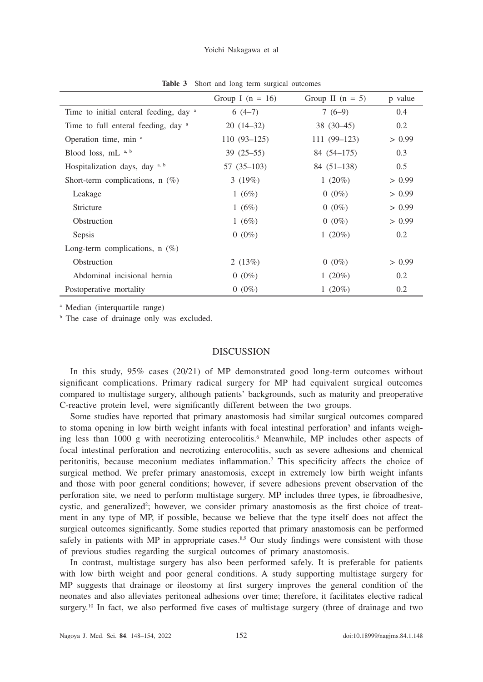|                                        | Group I $(n = 16)$ | Group II $(n = 5)$ | p value |
|----------------------------------------|--------------------|--------------------|---------|
| Time to initial enteral feeding, day a | $6(4-7)$           | $7(6-9)$           | 0.4     |
| Time to full enteral feeding, day a    | $20(14-32)$        | $38(30-45)$        | 0.2     |
| Operation time, min a                  | $110(93 - 125)$    | $111(99-123)$      | > 0.99  |
| Blood loss, mL a, b                    | $39(25-55)$        | $84(54 - 175)$     | 0.3     |
| Hospitalization days, day a, b         | $57(35-103)$       | $84(51-138)$       | 0.5     |
| Short-term complications, $n(\%)$      | 3(19%)             | 1 $(20\%)$         | > 0.99  |
| Leakage                                | 1 $(6%)$           | $0(0\%)$           | > 0.99  |
| Stricture                              | 1 $(6%)$           | $0(0\%)$           | > 0.99  |
| Obstruction                            | 1 $(6%)$           | $0(0\%)$           | > 0.99  |
| Sepsis                                 | $0(0\%)$           | 1 $(20\%)$         | 0.2     |
| Long-term complications, $n(\%)$       |                    |                    |         |
| Obstruction                            | 2 $(13%)$          | $0(0\%)$           | > 0.99  |
| Abdominal incisional hernia            | $0(0\%)$           | 1 $(20\%)$         | 0.2     |
| Postoperative mortality                | $0(0\%)$           | 1 $(20\%)$         | 0.2     |

**Table 3** Short and long term surgical outcomes

a Median (interquartile range)

<sup>b</sup> The case of drainage only was excluded.

## **DISCUSSION**

In this study, 95% cases (20/21) of MP demonstrated good long-term outcomes without significant complications. Primary radical surgery for MP had equivalent surgical outcomes compared to multistage surgery, although patients' backgrounds, such as maturity and preoperative C-reactive protein level, were significantly different between the two groups.

Some studies have reported that primary anastomosis had similar surgical outcomes compared to stoma opening in low birth weight infants with focal intestinal perforation<sup>5</sup> and infants weighing less than 1000 g with necrotizing enterocolitis.<sup>6</sup> Meanwhile, MP includes other aspects of focal intestinal perforation and necrotizing enterocolitis, such as severe adhesions and chemical peritonitis, because meconium mediates inflammation.7 This specificity affects the choice of surgical method. We prefer primary anastomosis, except in extremely low birth weight infants and those with poor general conditions; however, if severe adhesions prevent observation of the perforation site, we need to perform multistage surgery. MP includes three types, ie fibroadhesive, cystic, and generalized<sup>2</sup>; however, we consider primary anastomosis as the first choice of treatment in any type of MP, if possible, because we believe that the type itself does not affect the surgical outcomes significantly. Some studies reported that primary anastomosis can be performed safely in patients with MP in appropriate cases.<sup>8,9</sup> Our study findings were consistent with those of previous studies regarding the surgical outcomes of primary anastomosis.

In contrast, multistage surgery has also been performed safely. It is preferable for patients with low birth weight and poor general conditions. A study supporting multistage surgery for MP suggests that drainage or ileostomy at first surgery improves the general condition of the neonates and also alleviates peritoneal adhesions over time; therefore, it facilitates elective radical surgery.<sup>10</sup> In fact, we also performed five cases of multistage surgery (three of drainage and two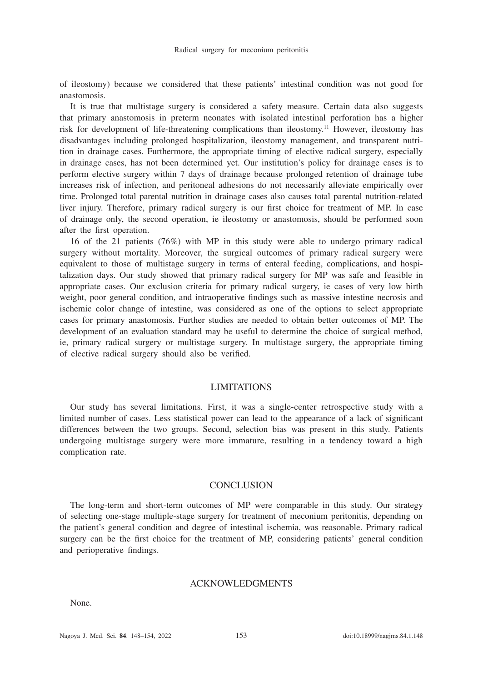of ileostomy) because we considered that these patients' intestinal condition was not good for anastomosis.

It is true that multistage surgery is considered a safety measure. Certain data also suggests that primary anastomosis in preterm neonates with isolated intestinal perforation has a higher risk for development of life-threatening complications than ileostomy.11 However, ileostomy has disadvantages including prolonged hospitalization, ileostomy management, and transparent nutrition in drainage cases. Furthermore, the appropriate timing of elective radical surgery, especially in drainage cases, has not been determined yet. Our institution's policy for drainage cases is to perform elective surgery within 7 days of drainage because prolonged retention of drainage tube increases risk of infection, and peritoneal adhesions do not necessarily alleviate empirically over time. Prolonged total parental nutrition in drainage cases also causes total parental nutrition-related liver injury. Therefore, primary radical surgery is our first choice for treatment of MP. In case of drainage only, the second operation, ie ileostomy or anastomosis, should be performed soon after the first operation.

16 of the 21 patients (76%) with MP in this study were able to undergo primary radical surgery without mortality. Moreover, the surgical outcomes of primary radical surgery were equivalent to those of multistage surgery in terms of enteral feeding, complications, and hospitalization days. Our study showed that primary radical surgery for MP was safe and feasible in appropriate cases. Our exclusion criteria for primary radical surgery, ie cases of very low birth weight, poor general condition, and intraoperative findings such as massive intestine necrosis and ischemic color change of intestine, was considered as one of the options to select appropriate cases for primary anastomosis. Further studies are needed to obtain better outcomes of MP. The development of an evaluation standard may be useful to determine the choice of surgical method, ie, primary radical surgery or multistage surgery. In multistage surgery, the appropriate timing of elective radical surgery should also be verified.

## LIMITATIONS

Our study has several limitations. First, it was a single-center retrospective study with a limited number of cases. Less statistical power can lead to the appearance of a lack of significant differences between the two groups. Second, selection bias was present in this study. Patients undergoing multistage surgery were more immature, resulting in a tendency toward a high complication rate.

#### CONCLUSION

The long-term and short-term outcomes of MP were comparable in this study. Our strategy of selecting one-stage multiple-stage surgery for treatment of meconium peritonitis, depending on the patient's general condition and degree of intestinal ischemia, was reasonable. Primary radical surgery can be the first choice for the treatment of MP, considering patients' general condition and perioperative findings.

### ACKNOWLEDGMENTS

None.